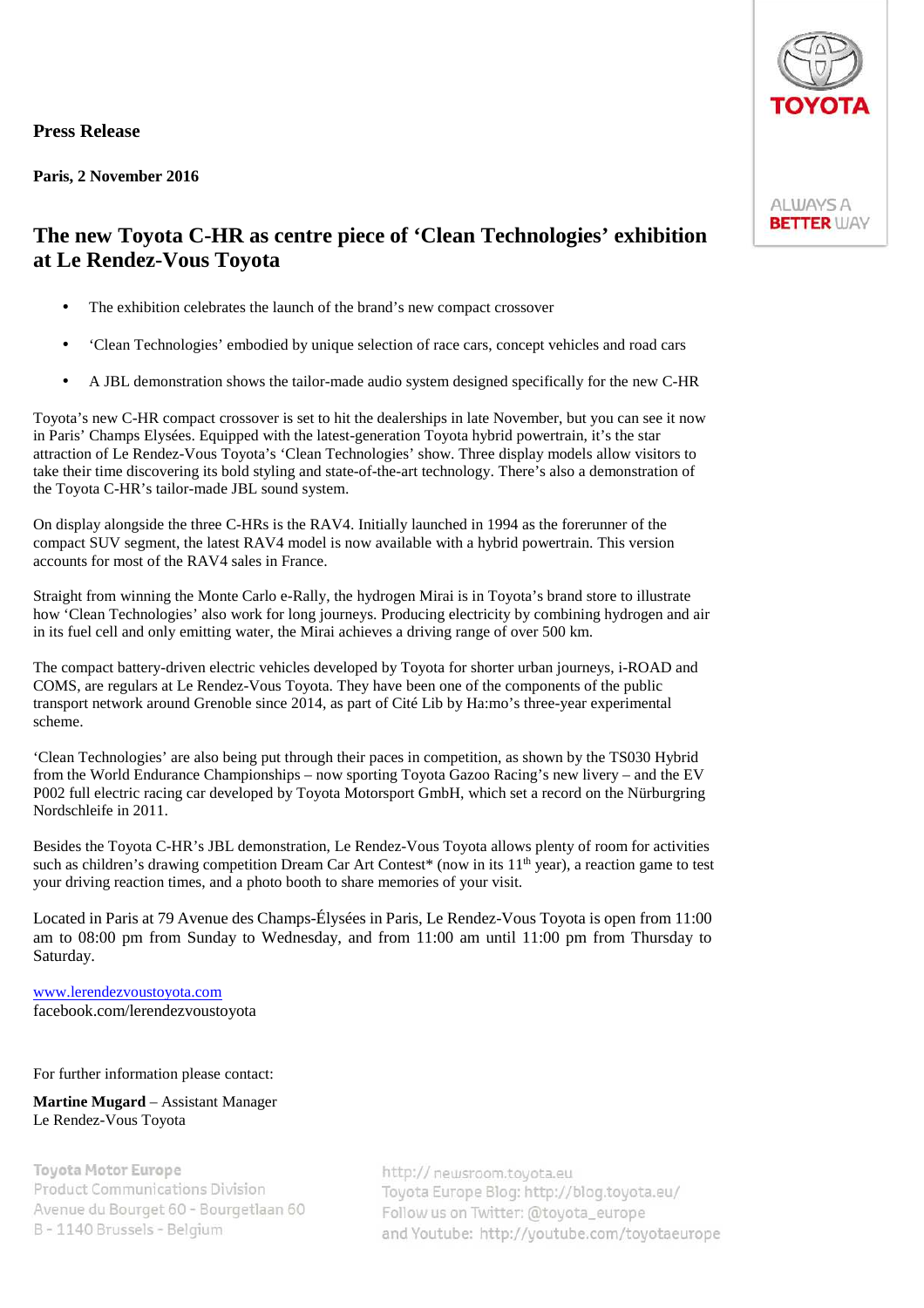## **Press Release**

**Paris, 2 November 2016** 

## **ALWAYS A BETTER WAY**

## **The new Toyota C-HR as centre piece of 'Clean Technologies' exhibition at Le Rendez-Vous Toyota**

- The exhibition celebrates the launch of the brand's new compact crossover
- 'Clean Technologies' embodied by unique selection of race cars, concept vehicles and road cars
- A JBL demonstration shows the tailor-made audio system designed specifically for the new C-HR

Toyota's new C-HR compact crossover is set to hit the dealerships in late November, but you can see it now in Paris' Champs Elysées. Equipped with the latest-generation Toyota hybrid powertrain, it's the star attraction of Le Rendez-Vous Toyota's 'Clean Technologies' show. Three display models allow visitors to take their time discovering its bold styling and state-of-the-art technology. There's also a demonstration of the Toyota C-HR's tailor-made JBL sound system.

On display alongside the three C-HRs is the RAV4. Initially launched in 1994 as the forerunner of the compact SUV segment, the latest RAV4 model is now available with a hybrid powertrain. This version accounts for most of the RAV4 sales in France.

Straight from winning the Monte Carlo e-Rally, the hydrogen Mirai is in Toyota's brand store to illustrate how 'Clean Technologies' also work for long journeys. Producing electricity by combining hydrogen and air in its fuel cell and only emitting water, the Mirai achieves a driving range of over 500 km.

The compact battery-driven electric vehicles developed by Toyota for shorter urban journeys, i-ROAD and COMS, are regulars at Le Rendez-Vous Toyota. They have been one of the components of the public transport network around Grenoble since 2014, as part of Cité Lib by Ha:mo's three-year experimental scheme.

'Clean Technologies' are also being put through their paces in competition, as shown by the TS030 Hybrid from the World Endurance Championships – now sporting Toyota Gazoo Racing's new livery – and the EV P002 full electric racing car developed by Toyota Motorsport GmbH, which set a record on the Nürburgring Nordschleife in 2011.

Besides the Toyota C-HR's JBL demonstration, Le Rendez-Vous Toyota allows plenty of room for activities such as children's drawing competition Dream Car Art Contest\* (now in its 11<sup>th</sup> year), a reaction game to test your driving reaction times, and a photo booth to share memories of your visit.

Located in Paris at 79 Avenue des Champs-Élysées in Paris, Le Rendez-Vous Toyota is open from 11:00 am to 08:00 pm from Sunday to Wednesday, and from 11:00 am until 11:00 pm from Thursday to Saturday.

www.lerendezvoustoyota.com facebook.com/lerendezvoustoyota

For further information please contact:

**Martine Mugard** – Assistant Manager Le Rendez-Vous Toyota

**Toyota Motor Europe Product Communications Division** Avenue du Bourget 60 - Bourgetlaan 60 B - 1140 Brussels - Belgium

http:// newsroom.toyota.eu Toyota Europe Blog: http://blog.toyota.eu/ Follow us on Twitter: @toyota\_europe and Youtube: http://youtube.com/toyotaeurope